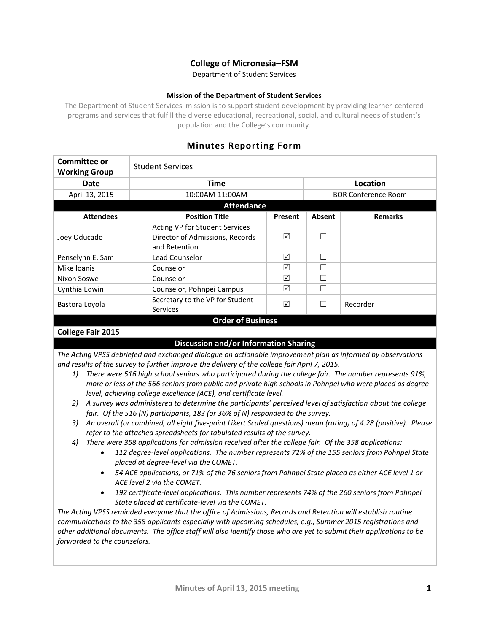## **College of Micronesia–FSM**

Department of Student Services

### **Mission of the Department of Student Services**

The Department of Student Services' mission is to support student development by providing learner-centered programs and services that fulfill the diverse educational, recreational, social, and cultural needs of student's population and the College's community.

# **Minutes Reporting Form**

| Committee or<br><b>Working Group</b> | <b>Student Services</b>                                                            |         |                            |                |  |
|--------------------------------------|------------------------------------------------------------------------------------|---------|----------------------------|----------------|--|
| Date                                 | <b>Time</b>                                                                        |         | Location                   |                |  |
| April 13, 2015                       | 10:00AM-11:00AM                                                                    |         | <b>BOR Conference Room</b> |                |  |
| <b>Attendance</b>                    |                                                                                    |         |                            |                |  |
| <b>Attendees</b>                     | <b>Position Title</b>                                                              | Present | Absent                     | <b>Remarks</b> |  |
| Joey Oducado                         | Acting VP for Student Services<br>Director of Admissions, Records<br>and Retention | ☑       |                            |                |  |
| Penselynn E. Sam                     | Lead Counselor                                                                     | ☑       | г                          |                |  |
| Mike Ioanis                          | Counselor                                                                          | ☑       |                            |                |  |
| Nixon Soswe                          | Counselor                                                                          | ☑       |                            |                |  |
| Cynthia Edwin                        | Counselor, Pohnpei Campus                                                          | ☑       |                            |                |  |
| Bastora Loyola                       | Secretary to the VP for Student<br><b>Services</b>                                 | ☑       |                            | Recorder       |  |
| <b>Order of Business</b>             |                                                                                    |         |                            |                |  |

## **College Fair 2015**

## **Discussion and/or Information Sharing**

*The Acting VPSS debriefed and exchanged dialogue on actionable improvement plan as informed by observations and results of the survey to further improve the delivery of the college fair April 7, 2015.*

- *1) There were 516 high school seniors who participated during the college fair. The number represents 91%, more or less of the 566 seniors from public and private high schools in Pohnpei who were placed as degree level, achieving college excellence (ACE), and certificate level.*
- *2) A survey was administered to determine the participants' perceived level of satisfaction about the college fair. Of the 516 (N) participants, 183 (or 36% of N) responded to the survey.*
- *3) An overall (or combined, all eight five-point Likert Scaled questions) mean (rating) of 4.28 (positive). Please refer to the attached spreadsheets for tabulated results of the survey.*
- *4) There were 358 applications for admission received after the college fair. Of the 358 applications:*
	- *112 degree-level applications. The number represents 72% of the 155 seniors from Pohnpei State placed at degree-level via the COMET.*
	- *54 ACE applications, or 71% of the 76 seniors from Pohnpei State placed as either ACE level 1 or ACE level 2 via the COMET.*
	- *192 certificate-level applications. This number represents 74% of the 260 seniors from Pohnpei State placed at certificate-level via the COMET.*

*The Acting VPSS reminded everyone that the office of Admissions, Records and Retention will establish routine communications to the 358 applicants especially with upcoming schedules, e.g., Summer 2015 registrations and other additional documents. The office staff will also identify those who are yet to submit their applications to be forwarded to the counselors.*